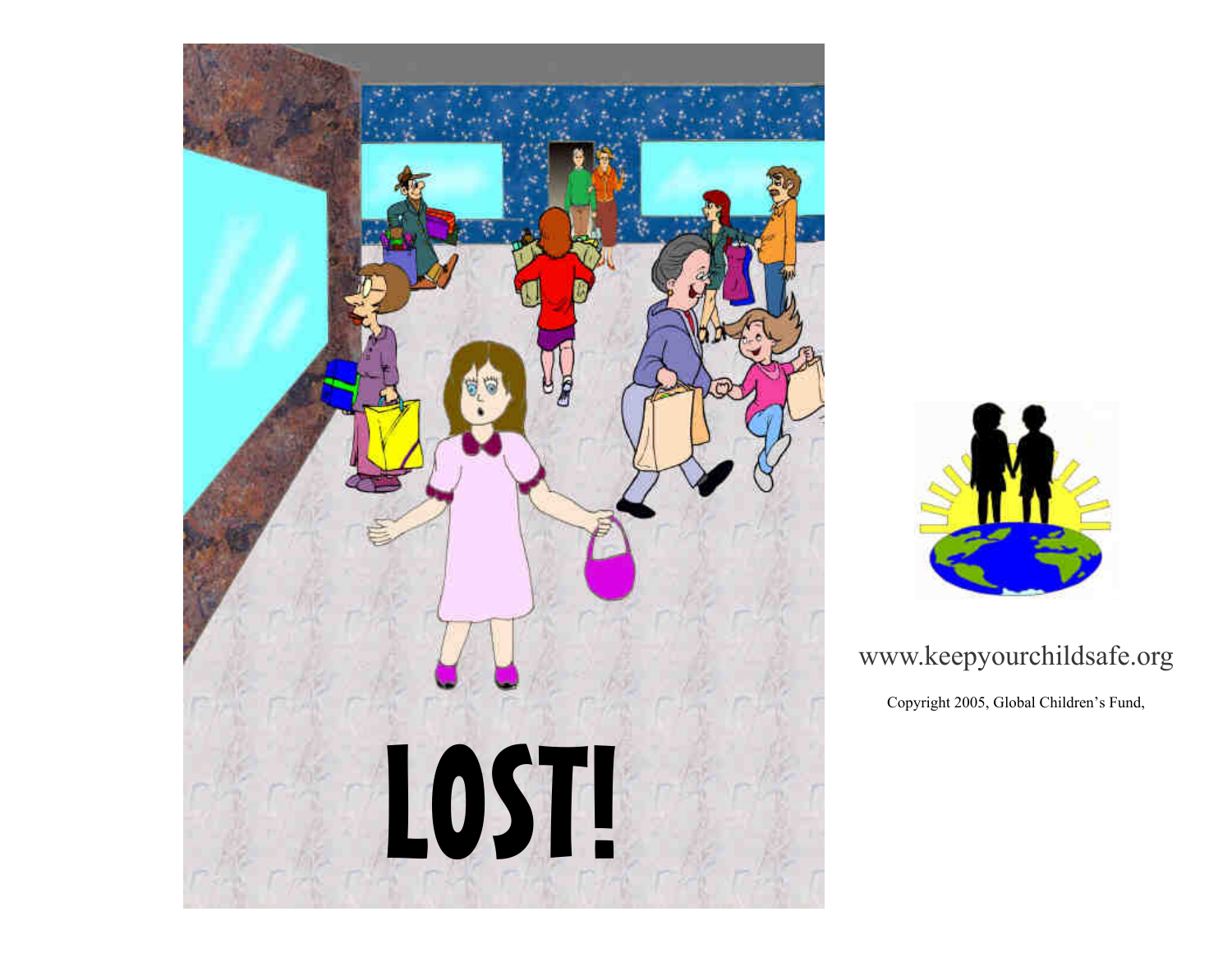



## www.keepyourchildsafe.org

Copyright 2005, Global Children's Fund,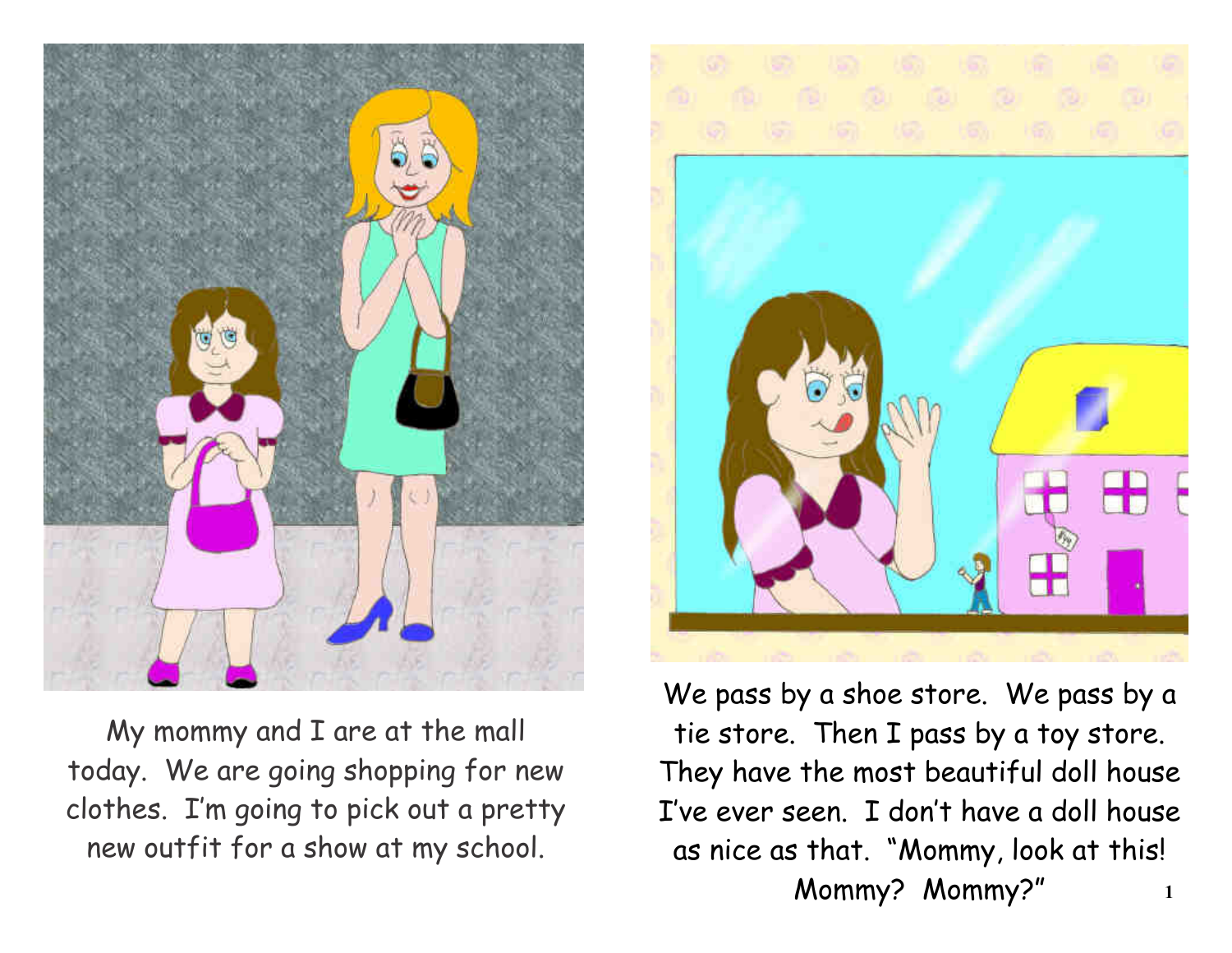

My mommy and I are at the mall today. We are going shopping for new clothes. I'm going to pick out a pretty new outfit for a show at my school.



We pass by a shoe store. We pass by a tie store. Then I pass by a toy store. They have the most beautiful doll house I've ever seen. I don't have a doll house as nice as that. "Mommy, look at this! Mommy? Mommy?" **1**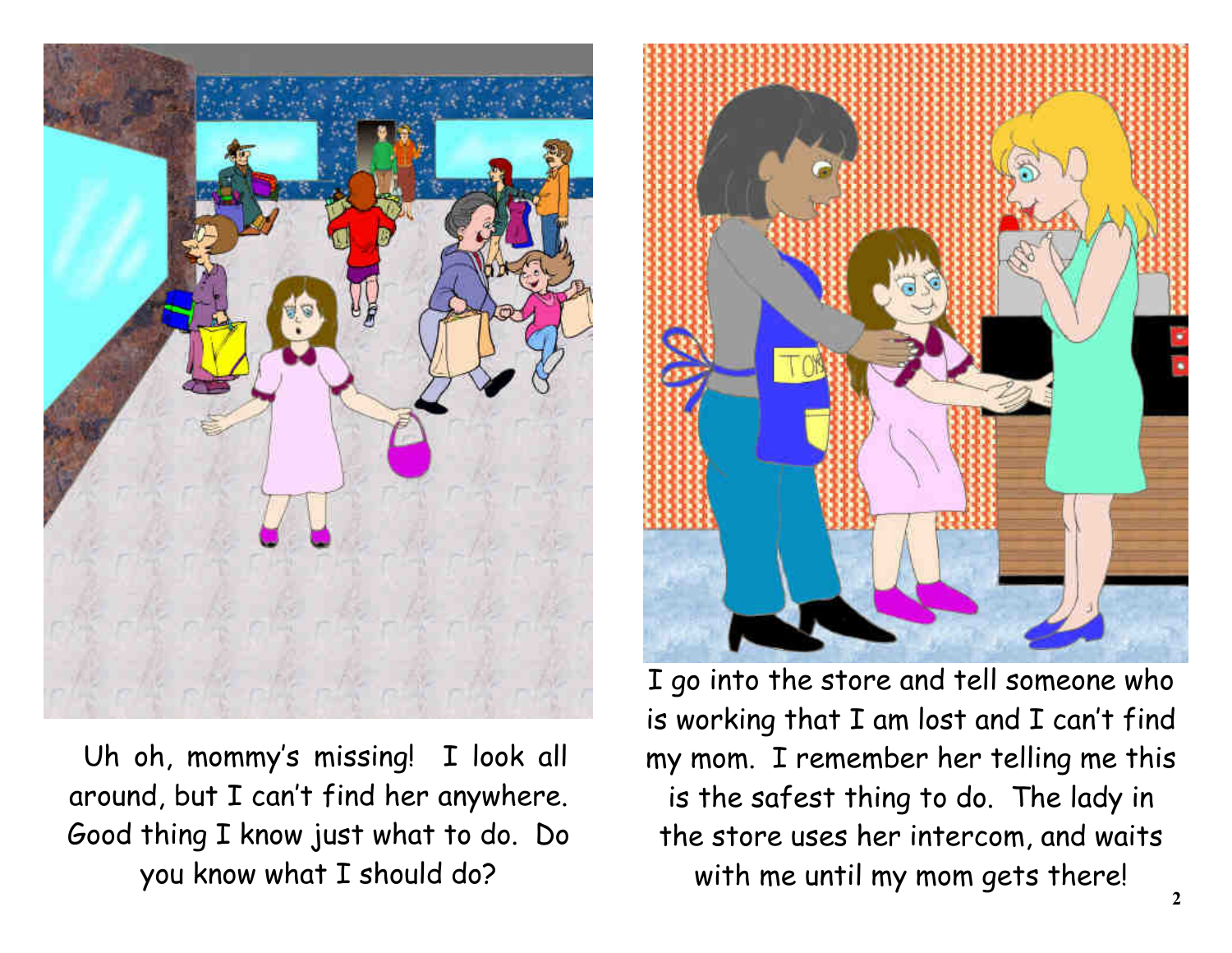

 Uh oh, mommy's missing! I look all around, but I can't find her anywhere. Good thing I know just what to do. Do you know what I should do?



I go into the store and tell someone who is working that I am lost and I can't find my mom. I remember her telling me this is the safest thing to do. The lady in the store uses her intercom, and waits with me until my mom gets there!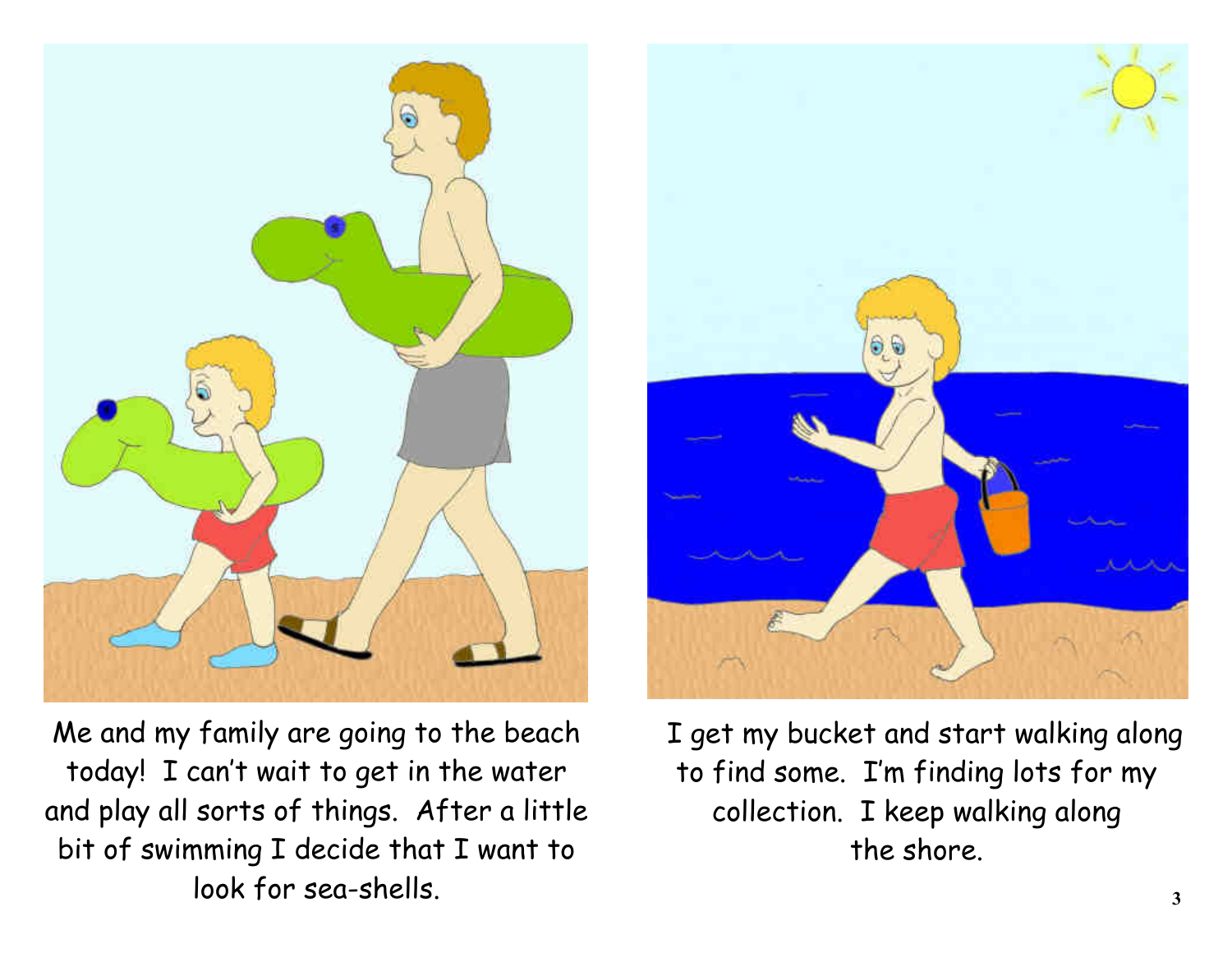

Me and my family are going to the beach today! I can't wait to get in the water and play all sorts of things. After a little bit of swimming I decide that I want to look for sea-shells.



 I get my bucket and start walking along to find some. I'm finding lots for my collection. I keep walking along the shore.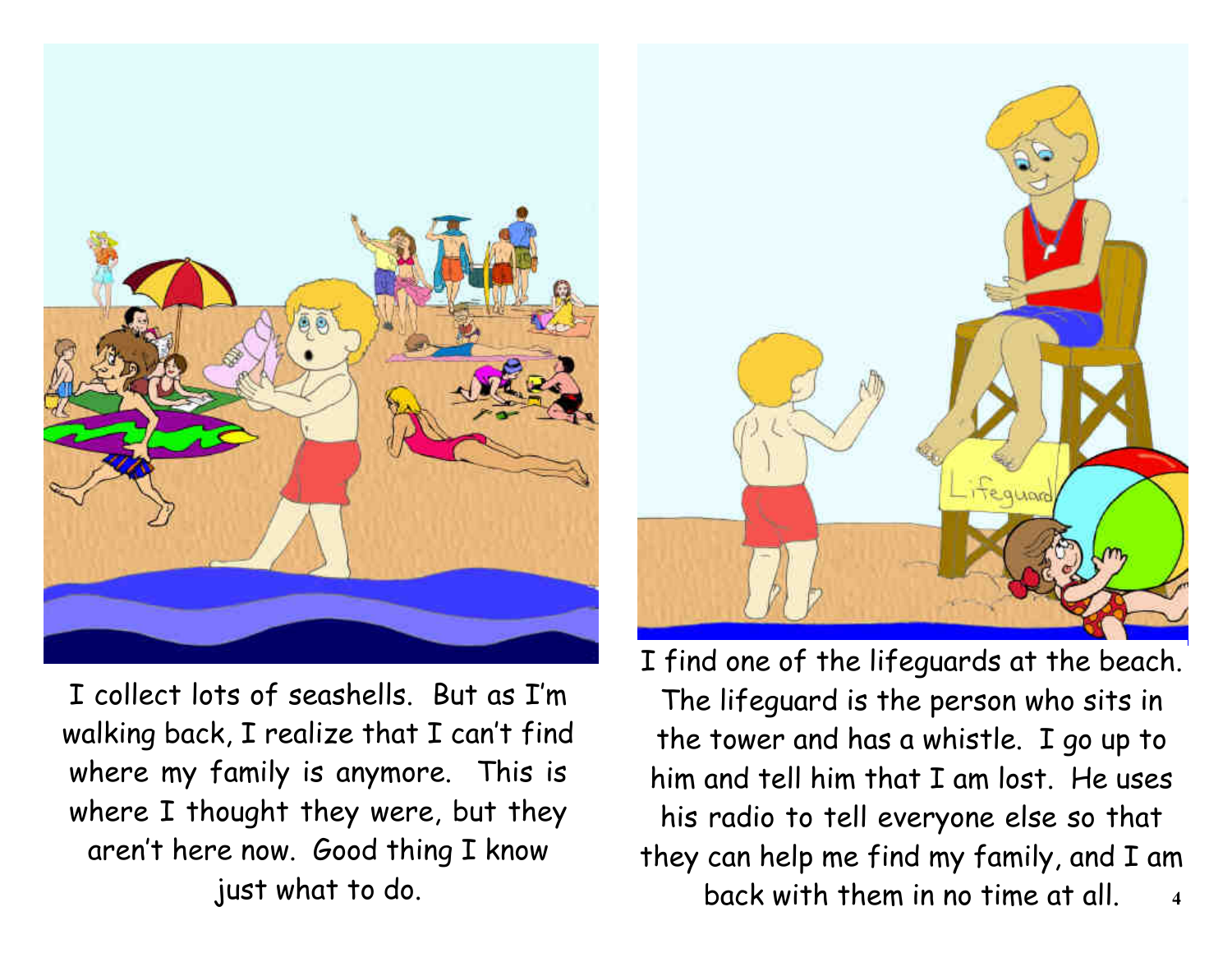

I collect lots of seashells. But as I'm walking back, I realize that I can't find where my family is anymore. This is where I thought they were, but they aren't here now. Good thing I know just what to do.



I find one of the lifeguards at the beach. The lifeguard is the person who sits in the tower and has a whistle. I go up to him and tell him that I am lost. He uses his radio to tell everyone else so that they can help me find my family, and I am back with them in no time at all. **4**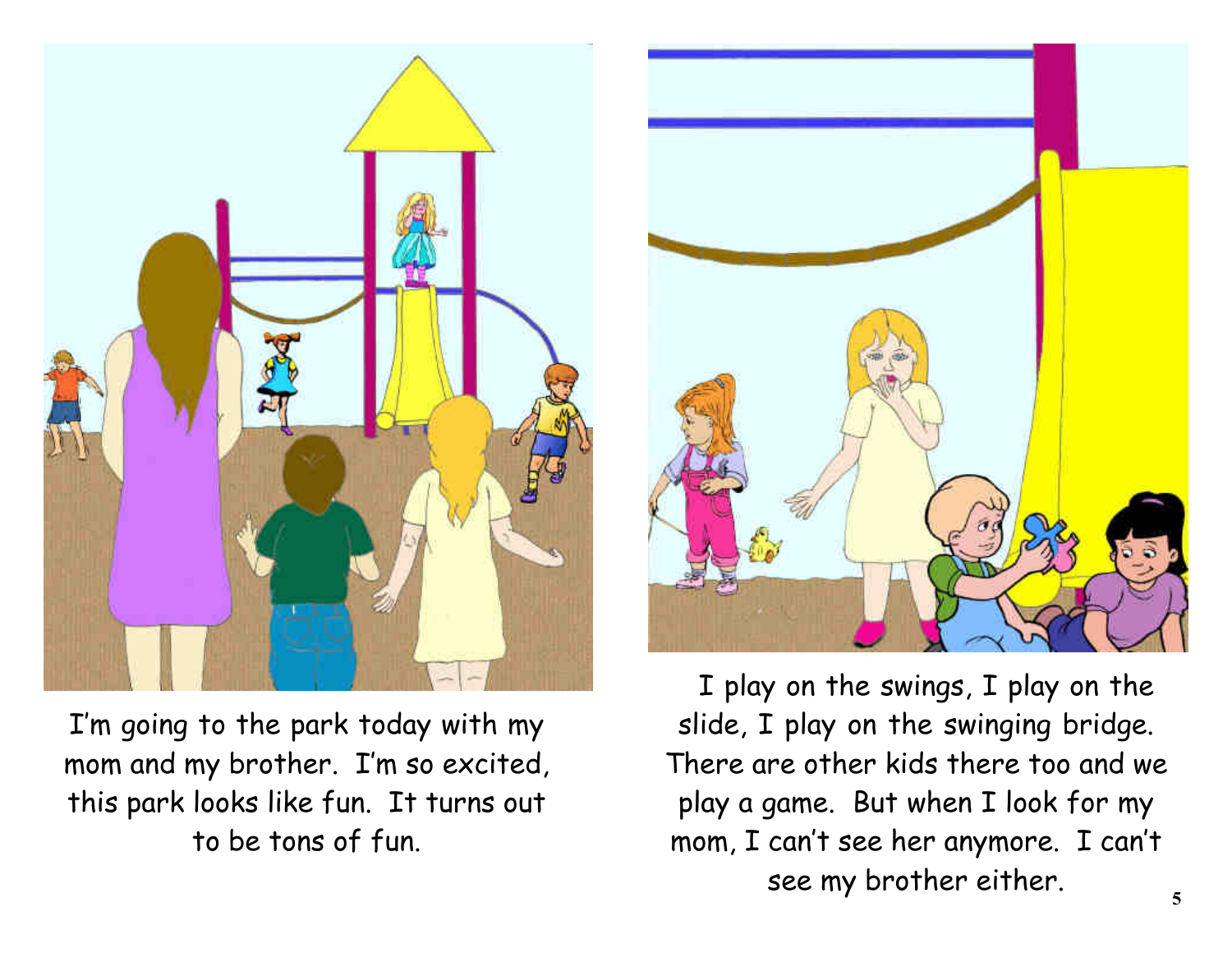

I'm going to the park today with my mom and my brother. I'm so excited, this park looks like fun. It turns out to be tons of fun.



 I play on the swings, I play on the slide, I play on the swinging bridge. There are other kids there too and we play a game. But when I look for my mom, I can't see her anymore. I can't see my brother either.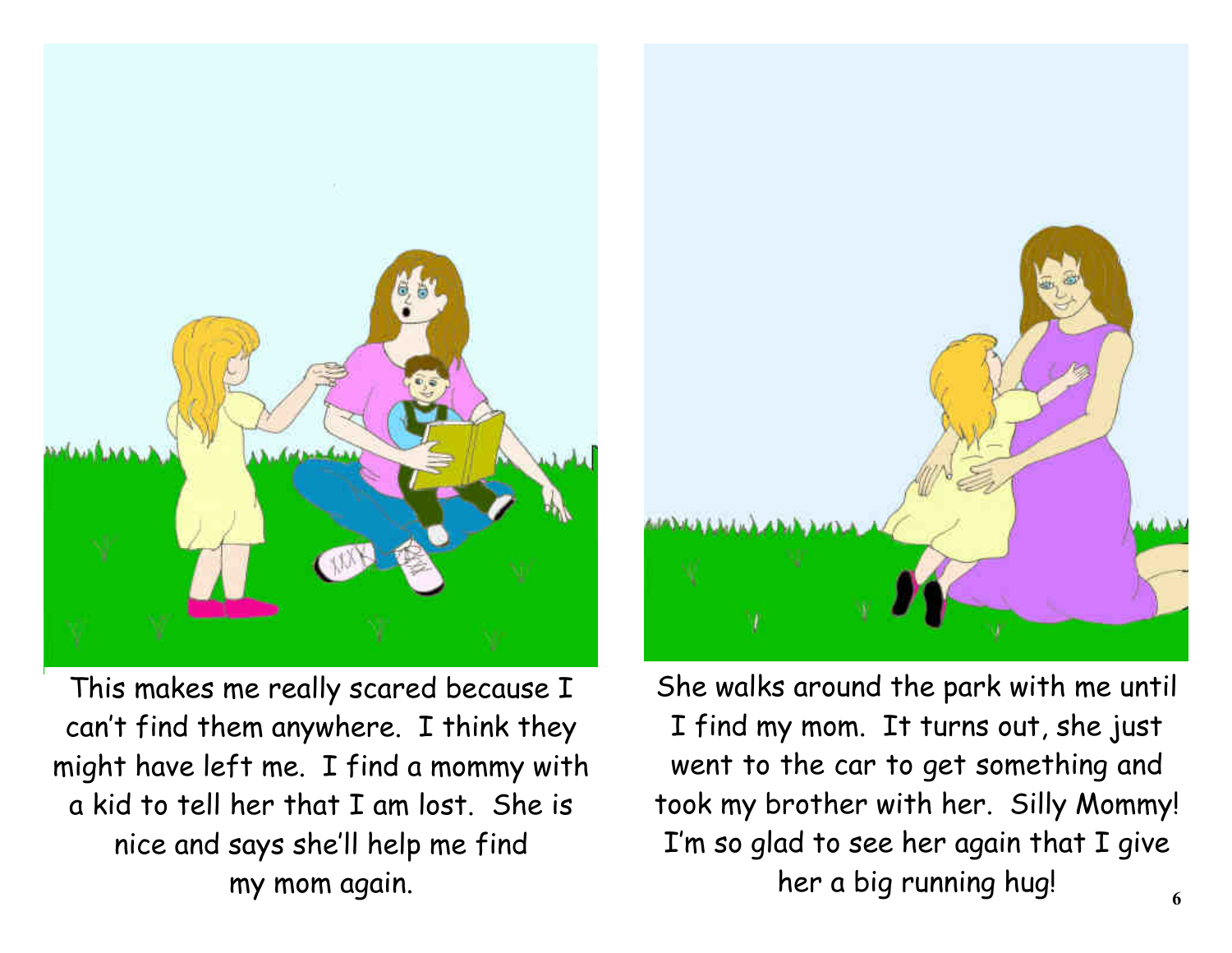

This makes me really scared because I can't find them anywhere. I think they might have left me. I find a mommy with a kid to tell her that I am lost. She is nice and says she'll help me find my mom again.



She walks around the park with me until I find my mom. It turns out, she just went to the car to get something and took my brother with her. Silly Mommy! I'm so glad to see her again that I give her a big running hug!